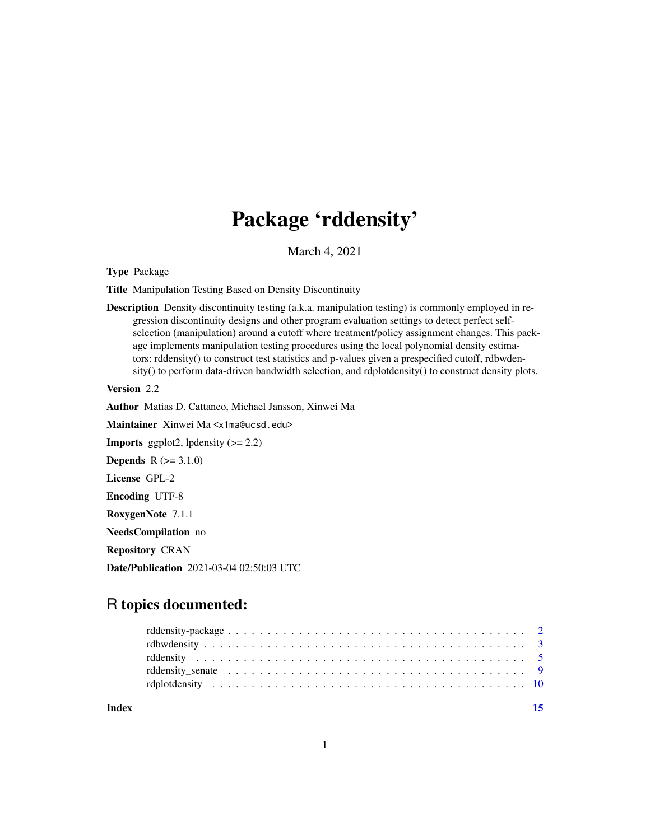# Package 'rddensity'

March 4, 2021

<span id="page-0-0"></span>Type Package

Title Manipulation Testing Based on Density Discontinuity

Description Density discontinuity testing (a.k.a. manipulation testing) is commonly employed in regression discontinuity designs and other program evaluation settings to detect perfect selfselection (manipulation) around a cutoff where treatment/policy assignment changes. This package implements manipulation testing procedures using the local polynomial density estimators: rddensity() to construct test statistics and p-values given a prespecified cutoff, rdbwdensity() to perform data-driven bandwidth selection, and rdplotdensity() to construct density plots.

Version 2.2

Author Matias D. Cattaneo, Michael Jansson, Xinwei Ma

Maintainer Xinwei Ma <x1ma@ucsd.edu>

**Imports** ggplot2, lpdensity  $(>= 2.2)$ 

**Depends**  $R (= 3.1.0)$ 

License GPL-2

Encoding UTF-8

RoxygenNote 7.1.1

NeedsCompilation no

Repository CRAN

Date/Publication 2021-03-04 02:50:03 UTC

# R topics documented:

| Index |  |
|-------|--|
|       |  |
|       |  |
|       |  |
|       |  |
|       |  |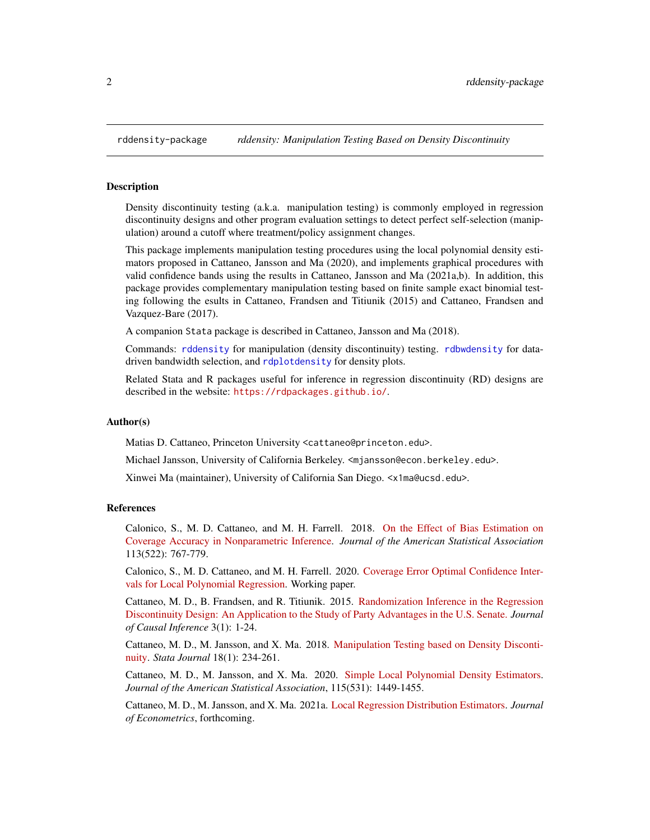<span id="page-1-0"></span>

# Description

Density discontinuity testing (a.k.a. manipulation testing) is commonly employed in regression discontinuity designs and other program evaluation settings to detect perfect self-selection (manipulation) around a cutoff where treatment/policy assignment changes.

This package implements manipulation testing procedures using the local polynomial density estimators proposed in Cattaneo, Jansson and Ma (2020), and implements graphical procedures with valid confidence bands using the results in Cattaneo, Jansson and Ma (2021a,b). In addition, this package provides complementary manipulation testing based on finite sample exact binomial testing following the esults in Cattaneo, Frandsen and Titiunik (2015) and Cattaneo, Frandsen and Vazquez-Bare (2017).

A companion Stata package is described in Cattaneo, Jansson and Ma (2018).

Commands: [rddensity](#page-4-1) for manipulation (density discontinuity) testing. [rdbwdensity](#page-2-1) for datadriven bandwidth selection, and [rdplotdensity](#page-9-1) for density plots.

Related Stata and R packages useful for inference in regression discontinuity (RD) designs are described in the website: <https://rdpackages.github.io/>.

#### Author(s)

Matias D. Cattaneo, Princeton University <cattaneo@princeton.edu>.

Michael Jansson, University of California Berkeley. <mjansson@econ.berkeley.edu>.

Xinwei Ma (maintainer), University of California San Diego. <x1ma@ucsd.edu>.

### References

Calonico, S., M. D. Cattaneo, and M. H. Farrell. 2018. [On the Effect of Bias Estimation on](https://rdpackages.github.io/references/Calonico-Cattaneo-Farrell_2018_JASA.pdf) [Coverage Accuracy in Nonparametric Inference.](https://rdpackages.github.io/references/Calonico-Cattaneo-Farrell_2018_JASA.pdf) *Journal of the American Statistical Association* 113(522): 767-779.

Calonico, S., M. D. Cattaneo, and M. H. Farrell. 2020. [Coverage Error Optimal Confidence Inter](https://rdpackages.github.io/references/Calonico-Cattaneo-Farrell_2020_CEopt.pdf)[vals for Local Polynomial Regression.](https://rdpackages.github.io/references/Calonico-Cattaneo-Farrell_2020_CEopt.pdf) Working paper.

Cattaneo, M. D., B. Frandsen, and R. Titiunik. 2015. [Randomization Inference in the Regression](https://rdpackages.github.io/references/Cattaneo-Frandsen-Titiunik_2015_JCI.pdf) [Discontinuity Design: An Application to the Study of Party Advantages in the U.S. Senate.](https://rdpackages.github.io/references/Cattaneo-Frandsen-Titiunik_2015_JCI.pdf) *Journal of Causal Inference* 3(1): 1-24.

Cattaneo, M. D., M. Jansson, and X. Ma. 2018. [Manipulation Testing based on Density Disconti](https://rdpackages.github.io/references/Cattaneo-Jansson-Ma_2018_Stata.pdf)[nuity.](https://rdpackages.github.io/references/Cattaneo-Jansson-Ma_2018_Stata.pdf) *Stata Journal* 18(1): 234-261.

Cattaneo, M. D., M. Jansson, and X. Ma. 2020. [Simple Local Polynomial Density Estimators.](https://nppackages.github.io/references/Cattaneo-Jansson-Ma_2020_JASA.pdf) *Journal of the American Statistical Association*, 115(531): 1449-1455.

Cattaneo, M. D., M. Jansson, and X. Ma. 2021a. [Local Regression Distribution Estimators.](https://nppackages.github.io/references/Cattaneo-Jansson-Ma_2021_JoE.pdf) *Journal of Econometrics*, forthcoming.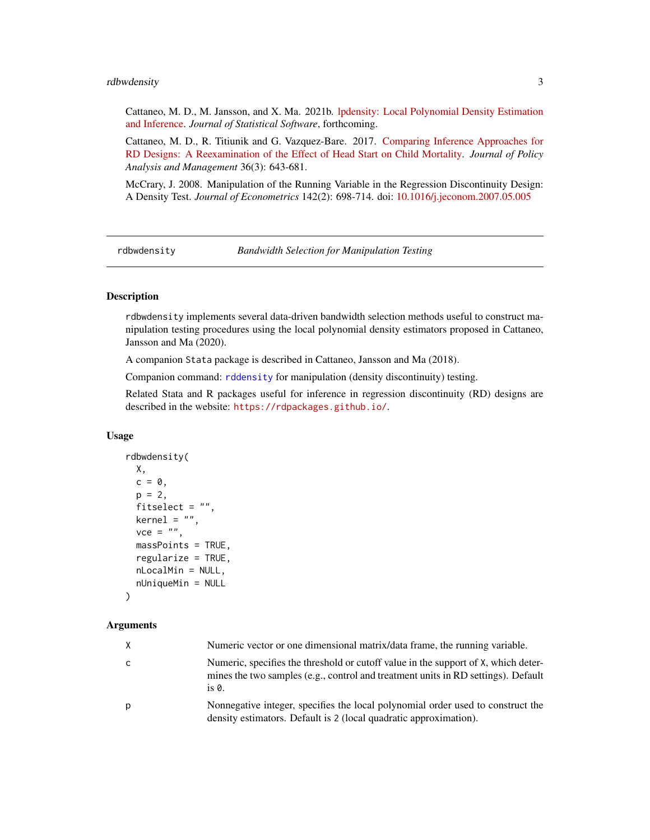# <span id="page-2-0"></span>rdbwdensity 3

Cattaneo, M. D., M. Jansson, and X. Ma. 2021b. [lpdensity: Local Polynomial Density Estimation](https://nppackages.github.io/references/Cattaneo-Jansson-Ma_2021_JSS.pdf) [and Inference.](https://nppackages.github.io/references/Cattaneo-Jansson-Ma_2021_JSS.pdf) *Journal of Statistical Software*, forthcoming.

Cattaneo, M. D., R. Titiunik and G. Vazquez-Bare. 2017. [Comparing Inference Approaches for](https://rdpackages.github.io/references/Cattaneo-Titiunik-VazquezBare_2017_JPAM.pdf) [RD Designs: A Reexamination of the Effect of Head Start on Child Mortality.](https://rdpackages.github.io/references/Cattaneo-Titiunik-VazquezBare_2017_JPAM.pdf) *Journal of Policy Analysis and Management* 36(3): 643-681.

McCrary, J. 2008. Manipulation of the Running Variable in the Regression Discontinuity Design: A Density Test. *Journal of Econometrics* 142(2): 698-714. doi: [10.1016/j.jeconom.2007.05.005](https://doi.org/10.1016/j.jeconom.2007.05.005)

<span id="page-2-1"></span>rdbwdensity *Bandwidth Selection for Manipulation Testing*

# Description

rdbwdensity implements several data-driven bandwidth selection methods useful to construct manipulation testing procedures using the local polynomial density estimators proposed in Cattaneo, Jansson and Ma (2020).

A companion Stata package is described in Cattaneo, Jansson and Ma (2018).

Companion command: [rddensity](#page-4-1) for manipulation (density discontinuity) testing.

Related Stata and R packages useful for inference in regression discontinuity (RD) designs are described in the website: <https://rdpackages.github.io/>.

# Usage

```
rdbwdensity(
 X,
  c = 0,
  p = 2,
  fitselect = "",
 kernel = ",
  vec = "",massPoints = TRUE,
  regularize = TRUE,
  nLocalMin = NULL,
  nUniqueMin = NULL
```
# )

# **Arguments**

| X | Numeric vector or one dimensional matrix/data frame, the running variable.                                                                                                       |
|---|----------------------------------------------------------------------------------------------------------------------------------------------------------------------------------|
| C | Numeric, specifies the threshold or cutoff value in the support of X, which deter-<br>mines the two samples (e.g., control and treatment units in RD settings). Default<br>is 0. |
| p | Nonnegative integer, specifies the local polynomial order used to construct the<br>density estimators. Default is 2 (local quadratic approximation).                             |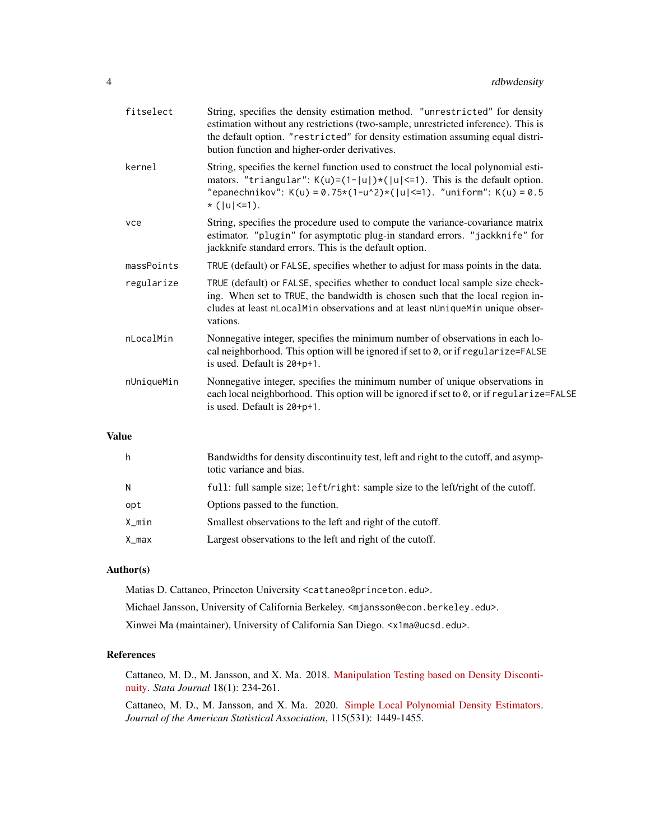| fitselect  | String, specifies the density estimation method. "unrestricted" for density<br>estimation without any restrictions (two-sample, unrestricted inference). This is<br>the default option. "restricted" for density estimation assuming equal distri-<br>bution function and higher-order derivatives. |
|------------|-----------------------------------------------------------------------------------------------------------------------------------------------------------------------------------------------------------------------------------------------------------------------------------------------------|
| kernel     | String, specifies the kernel function used to construct the local polynomial esti-<br>mators. "triangular": $K(u)=(1- u )*( u <=1)$ . This is the default option.<br>"epanechnikov": K(u) = 0.75*(1-u^2)*( u  <= 1). "uniform": K(u) = 0.5<br>$*( u  \le 1).$                                       |
| vce        | String, specifies the procedure used to compute the variance-covariance matrix<br>estimator. "plugin" for asymptotic plug-in standard errors. "jackknife" for<br>jackknife standard errors. This is the default option.                                                                             |
| massPoints | TRUE (default) or FALSE, specifies whether to adjust for mass points in the data.                                                                                                                                                                                                                   |
| regularize | TRUE (default) or FALSE, specifies whether to conduct local sample size check-<br>ing. When set to TRUE, the bandwidth is chosen such that the local region in-<br>cludes at least nLocalMin observations and at least nUniqueMin unique obser-<br>vations.                                         |
| nLocalMin  | Nonnegative integer, specifies the minimum number of observations in each lo-<br>cal neighborhood. This option will be ignored if set to 0, or if regularize=FALSE<br>is used. Default is 20+p+1.                                                                                                   |
| nUniqueMin | Nonnegative integer, specifies the minimum number of unique observations in<br>each local neighborhood. This option will be ignored if set to 0, or if regularize=FALSE<br>is used. Default is $20+pt1$ .                                                                                           |
|            |                                                                                                                                                                                                                                                                                                     |

# Value

| h     | Bandwidths for density discontinuity test, left and right to the cutoff, and asymp-<br>totic variance and bias. |
|-------|-----------------------------------------------------------------------------------------------------------------|
| N     | full: full sample size; left/right: sample size to the left/right of the cutoff.                                |
| opt   | Options passed to the function.                                                                                 |
| X_min | Smallest observations to the left and right of the cutoff.                                                      |
| X_max | Largest observations to the left and right of the cutoff.                                                       |

# Author(s)

Matias D. Cattaneo, Princeton University <cattaneo@princeton.edu>. Michael Jansson, University of California Berkeley. <mjansson@econ.berkeley.edu>. Xinwei Ma (maintainer), University of California San Diego. <x1ma@ucsd.edu>.

# References

Cattaneo, M. D., M. Jansson, and X. Ma. 2018. [Manipulation Testing based on Density Disconti](https://rdpackages.github.io/references/Cattaneo-Jansson-Ma_2018_Stata.pdf)[nuity.](https://rdpackages.github.io/references/Cattaneo-Jansson-Ma_2018_Stata.pdf) *Stata Journal* 18(1): 234-261.

Cattaneo, M. D., M. Jansson, and X. Ma. 2020. [Simple Local Polynomial Density Estimators.](https://rdpackages.github.io/references/Cattaneo-Jansson-Ma_2020_JASA.pdf) *Journal of the American Statistical Association*, 115(531): 1449-1455.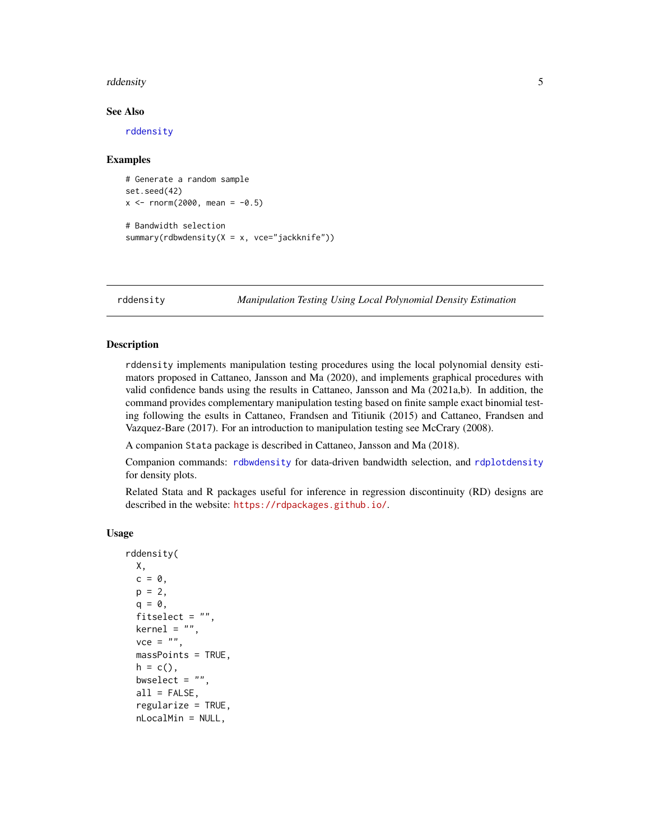# <span id="page-4-0"></span>rddensity 50 and 50 and 50 and 50 and 50 and 50 and 50 and 50 and 50 and 50 and 50 and 50 and 50 and 50 and 50 and 50 and 50 and 50 and 50 and 50 and 50 and 50 and 50 and 50 and 50 and 50 and 50 and 50 and 50 and 50 and 50

# See Also

[rddensity](#page-4-1)

# Examples

```
# Generate a random sample
set.seed(42)
x \le - rnorm(2000, mean = -0.5)
# Bandwidth selection
summary(rdbwdensity(X = x, vce="jackknife"))
```
<span id="page-4-1"></span>rddensity *Manipulation Testing Using Local Polynomial Density Estimation*

# **Description**

rddensity implements manipulation testing procedures using the local polynomial density estimators proposed in Cattaneo, Jansson and Ma (2020), and implements graphical procedures with valid confidence bands using the results in Cattaneo, Jansson and Ma (2021a,b). In addition, the command provides complementary manipulation testing based on finite sample exact binomial testing following the esults in Cattaneo, Frandsen and Titiunik (2015) and Cattaneo, Frandsen and Vazquez-Bare (2017). For an introduction to manipulation testing see McCrary (2008).

A companion Stata package is described in Cattaneo, Jansson and Ma (2018).

Companion commands: [rdbwdensity](#page-2-1) for data-driven bandwidth selection, and [rdplotdensity](#page-9-1) for density plots.

Related Stata and R packages useful for inference in regression discontinuity (RD) designs are described in the website: <https://rdpackages.github.io/>.

#### Usage

```
rddensity(
 X,
 c = 0,
 p = 2,
  q = 0,
  fitselect = "",
 kernel = ",
  vec = "",
  massPoints = TRUE,
 h = c(),
 bwselect = ".
  all = FALSE,regularize = TRUE,
  nLocalMin = NULL,
```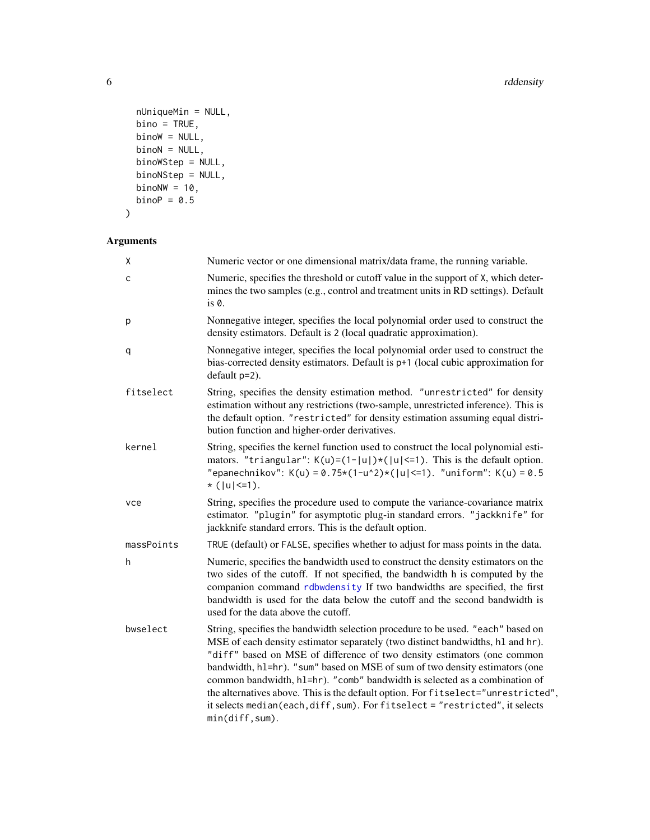```
nUniqueMin = NULL,
  bino = TRUE,binow = NULL,
 binon = NULL,binoWStep = NULL,
 binoNStep = NULL,
 binom{W}{W} = 10,
 binoP = 0.5)
```
# Arguments X Numeric vector or one dimensional matrix/data frame, the running variable. c Numeric, specifies the threshold or cutoff value in the support of X, which determines the two samples (e.g., control and treatment units in RD settings). Default is 0. p Nonnegative integer, specifies the local polynomial order used to construct the density estimators. Default is 2 (local quadratic approximation). q Nonnegative integer, specifies the local polynomial order used to construct the bias-corrected density estimators. Default is p+1 (local cubic approximation for default p=2). fitselect String, specifies the density estimation method. "unrestricted" for density estimation without any restrictions (two-sample, unrestricted inference). This is the default option. "restricted" for density estimation assuming equal distribution function and higher-order derivatives. kernel String, specifies the kernel function used to construct the local polynomial estimators. "triangular":  $K(u)=(1-|u|)*(|u| \leq 1)$ . This is the default option. "epanechnikov": K(u) = 0.75\*(1-u^2)\*(|u| <= 1). "uniform": K(u) = 0.5 \* (|u|<=1). vce String, specifies the procedure used to compute the variance-covariance matrix estimator. "plugin" for asymptotic plug-in standard errors. "jackknife" for jackknife standard errors. This is the default option. massPoints TRUE (default) or FALSE, specifies whether to adjust for mass points in the data. h Numeric, specifies the bandwidth used to construct the density estimators on the two sides of the cutoff. If not specified, the bandwidth h is computed by the companion command [rdbwdensity](#page-2-1) If two bandwidths are specified, the first bandwidth is used for the data below the cutoff and the second bandwidth is used for the data above the cutoff. bwselect String, specifies the bandwidth selection procedure to be used. "each" based on MSE of each density estimator separately (two distinct bandwidths, hl and hr). "diff" based on MSE of difference of two density estimators (one common bandwidth, hl=hr). "sum" based on MSE of sum of two density estimators (one common bandwidth, hl=hr). "comb" bandwidth is selected as a combination of the alternatives above. This is the default option. For fitselect="unrestricted", it selects median(each,diff, sum). For fitselect = "restricted", it selects min(diff,sum).

<span id="page-5-0"></span>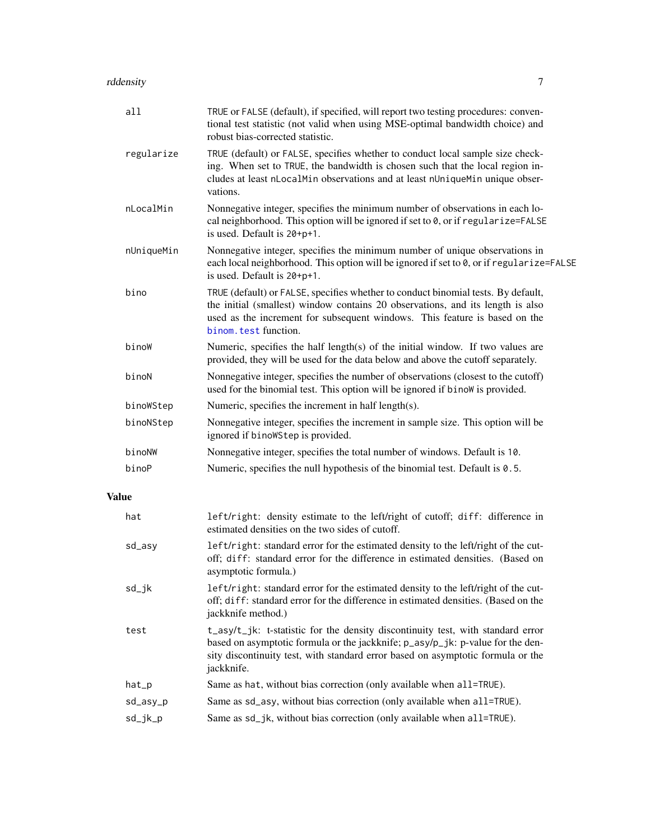<span id="page-6-0"></span>

| a11          | TRUE or FALSE (default), if specified, will report two testing procedures: conven-<br>tional test statistic (not valid when using MSE-optimal bandwidth choice) and<br>robust bias-corrected statistic.                                                                    |
|--------------|----------------------------------------------------------------------------------------------------------------------------------------------------------------------------------------------------------------------------------------------------------------------------|
| regularize   | TRUE (default) or FALSE, specifies whether to conduct local sample size check-<br>ing. When set to TRUE, the bandwidth is chosen such that the local region in-<br>cludes at least nLocalMin observations and at least nUniqueMin unique obser-<br>vations.                |
| nLocalMin    | Nonnegative integer, specifies the minimum number of observations in each lo-<br>cal neighborhood. This option will be ignored if set to 0, or if regularize=FALSE<br>is used. Default is 20+p+1.                                                                          |
| nUniqueMin   | Nonnegative integer, specifies the minimum number of unique observations in<br>each local neighborhood. This option will be ignored if set to 0, or if regularize=FALSE<br>is used. Default is 20+p+1.                                                                     |
| bino         | TRUE (default) or FALSE, specifies whether to conduct binomial tests. By default,<br>the initial (smallest) window contains 20 observations, and its length is also<br>used as the increment for subsequent windows. This feature is based on the<br>binom. test function. |
| binoW        | Numeric, specifies the half length(s) of the initial window. If two values are<br>provided, they will be used for the data below and above the cutoff separately.                                                                                                          |
| binoN        | Nonnegative integer, specifies the number of observations (closest to the cutoff)<br>used for the binomial test. This option will be ignored if binow is provided.                                                                                                         |
| binoWStep    | Numeric, specifies the increment in half length(s).                                                                                                                                                                                                                        |
| binoNStep    | Nonnegative integer, specifies the increment in sample size. This option will be<br>ignored if binoWStep is provided.                                                                                                                                                      |
| binoNW       | Nonnegative integer, specifies the total number of windows. Default is 10.                                                                                                                                                                                                 |
| binoP        | Numeric, specifies the null hypothesis of the binomial test. Default is 0.5.                                                                                                                                                                                               |
| <b>Value</b> |                                                                                                                                                                                                                                                                            |
| hat          | left/right: density estimate to the left/right of cutoff; diff: difference in<br>estimated densities on the two sides of cutoff.                                                                                                                                           |
| sd_asy       | left/right: standard error for the estimated density to the left/right of the cut-<br>off; diff: standard error for the difference in estimated densities. (Based on<br>asymptotic formula.)                                                                               |
| $sd$ _j $k$  | left/right: standard error for the estimated density to the left/right of the cut-<br>off; diff: standard error for the difference in estimated densities. (Based on the<br>jackknife method.)                                                                             |
| test         | t_asy/t_jk: t-statistic for the density discontinuity test, with standard error                                                                                                                                                                                            |

based on asymptotic formula or the jackknife; p\_asy/p\_jk: p-value for the density discontinuity test, with standard error based on asymptotic formula or the

hat\_p Same as hat, without bias correction (only available when all=TRUE). sd\_asy\_p Same as sd\_asy, without bias correction (only available when all=TRUE). sd\_jk\_p Same as sd\_jk, without bias correction (only available when all=TRUE).

jackknife.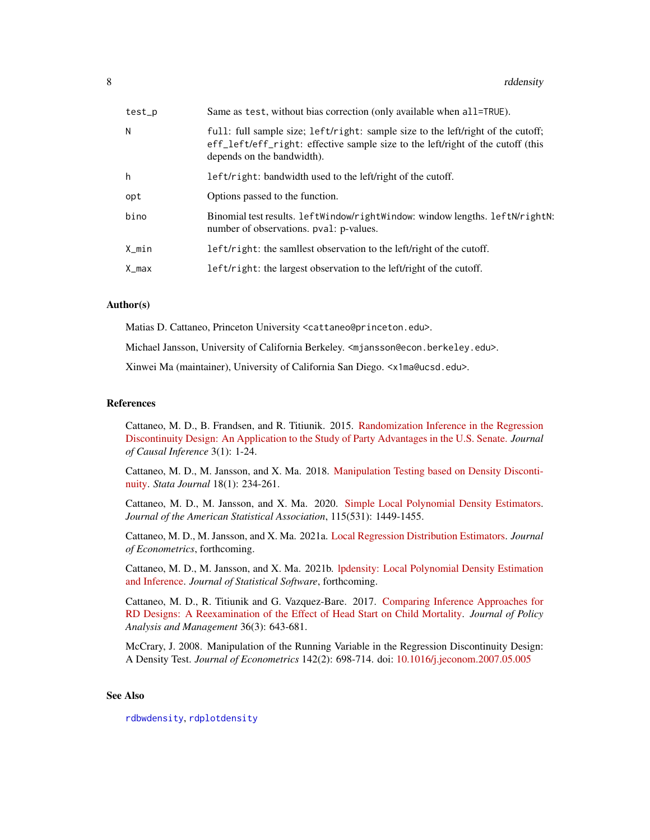<span id="page-7-0"></span>

| test_p | Same as test, without bias correction (only available when all=TRUE).                                                                                                                             |
|--------|---------------------------------------------------------------------------------------------------------------------------------------------------------------------------------------------------|
| N      | full: full sample size; left/right: sample size to the left/right of the cutoff;<br>eff_left/eff_right: effective sample size to the left/right of the cutoff (this<br>depends on the bandwidth). |
| h      | left/right: bandwidth used to the left/right of the cutoff.                                                                                                                                       |
| opt    | Options passed to the function.                                                                                                                                                                   |
| bino   | Binomial test results. LeftWindow/rightWindow: window lengths. LeftN/rightN:<br>number of observations. pval: p-values.                                                                           |
| X_min  | left/right: the samilest observation to the left/right of the cutoff.                                                                                                                             |
| X_max  | left/right: the largest observation to the left/right of the cutoff.                                                                                                                              |
|        |                                                                                                                                                                                                   |

# Author(s)

Matias D. Cattaneo, Princeton University <cattaneo@princeton.edu>.

Michael Jansson, University of California Berkeley. <mjansson@econ.berkeley.edu>.

Xinwei Ma (maintainer), University of California San Diego. <x1ma@ucsd.edu>.

# References

Cattaneo, M. D., B. Frandsen, and R. Titiunik. 2015. [Randomization Inference in the Regression](https://rdpackages.github.io/references/Cattaneo-Frandsen-Titiunik_2015_JCI.pdf) [Discontinuity Design: An Application to the Study of Party Advantages in the U.S. Senate.](https://rdpackages.github.io/references/Cattaneo-Frandsen-Titiunik_2015_JCI.pdf) *Journal of Causal Inference* 3(1): 1-24.

Cattaneo, M. D., M. Jansson, and X. Ma. 2018. [Manipulation Testing based on Density Disconti](https://rdpackages.github.io/references/Cattaneo-Jansson-Ma_2018_Stata.pdf)[nuity.](https://rdpackages.github.io/references/Cattaneo-Jansson-Ma_2018_Stata.pdf) *Stata Journal* 18(1): 234-261.

Cattaneo, M. D., M. Jansson, and X. Ma. 2020. [Simple Local Polynomial Density Estimators.](https://nppackages.github.io/references/Cattaneo-Jansson-Ma_2020_JASA.pdf) *Journal of the American Statistical Association*, 115(531): 1449-1455.

Cattaneo, M. D., M. Jansson, and X. Ma. 2021a. [Local Regression Distribution Estimators.](https://nppackages.github.io/references/Cattaneo-Jansson-Ma_2021_JoE.pdf) *Journal of Econometrics*, forthcoming.

Cattaneo, M. D., M. Jansson, and X. Ma. 2021b. [lpdensity: Local Polynomial Density Estimation](https://nppackages.github.io/references/Cattaneo-Jansson-Ma_2021_JSS.pdf) [and Inference.](https://nppackages.github.io/references/Cattaneo-Jansson-Ma_2021_JSS.pdf) *Journal of Statistical Software*, forthcoming.

Cattaneo, M. D., R. Titiunik and G. Vazquez-Bare. 2017. [Comparing Inference Approaches for](https://rdpackages.github.io/references/Cattaneo-Titiunik-VazquezBare_2017_JPAM.pdf) [RD Designs: A Reexamination of the Effect of Head Start on Child Mortality.](https://rdpackages.github.io/references/Cattaneo-Titiunik-VazquezBare_2017_JPAM.pdf) *Journal of Policy Analysis and Management* 36(3): 643-681.

McCrary, J. 2008. Manipulation of the Running Variable in the Regression Discontinuity Design: A Density Test. *Journal of Econometrics* 142(2): 698-714. doi: [10.1016/j.jeconom.2007.05.005](https://doi.org/10.1016/j.jeconom.2007.05.005)

# See Also

[rdbwdensity](#page-2-1), [rdplotdensity](#page-9-1)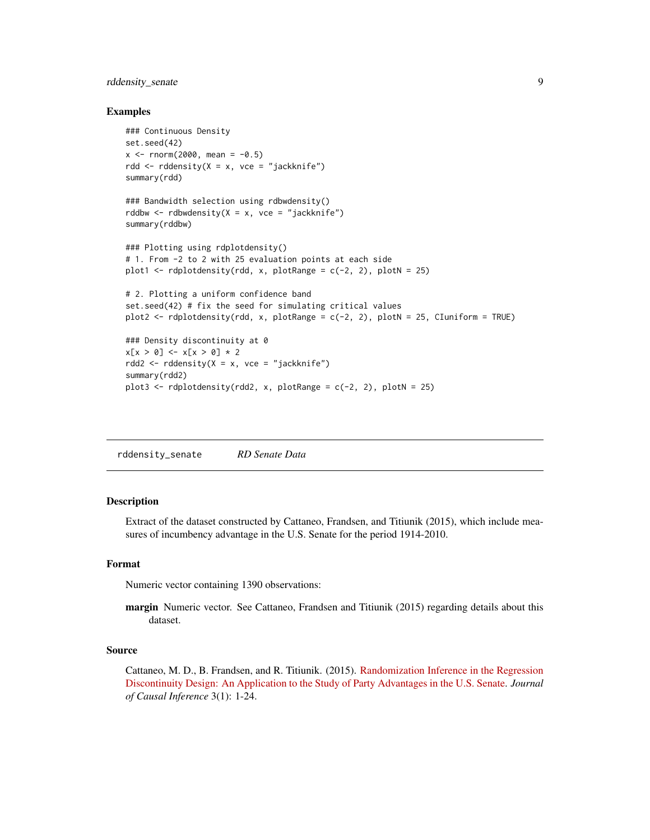# <span id="page-8-0"></span>rddensity\_senate 9

# Examples

```
### Continuous Density
set.seed(42)
x \le - rnorm(2000, mean = -0.5)
rdd <- rddensity(X = x, vce = "jackknife")
summary(rdd)
### Bandwidth selection using rdbwdensity()
rddbw \leq rdbwdensity(X = x, vce = "jackknife")
summary(rddbw)
### Plotting using rdplotdensity()
# 1. From -2 to 2 with 25 evaluation points at each side
plot1 \le rdplotdensity(rdd, x, plotRange = c(-2, 2), plotN = 25)
# 2. Plotting a uniform confidence band
set.seed(42) # fix the seed for simulating critical values
plot2 <- rdplotdensity(rdd, x, plotRange = c(-2, 2), plotN = 25, CIuniform = TRUE)
### Density discontinuity at 0
x[x > 0] <- x[x > 0] * 2
rdd2 <- rddensity(X = x, vce = "jackknife")
summary(rdd2)
plot3 <- rdplotdensity(rdd2, x, plotRange = c(-2, 2), plotN = 25)
```
rddensity\_senate *RD Senate Data*

# Description

Extract of the dataset constructed by Cattaneo, Frandsen, and Titiunik (2015), which include measures of incumbency advantage in the U.S. Senate for the period 1914-2010.

## Format

Numeric vector containing 1390 observations:

margin Numeric vector. See Cattaneo, Frandsen and Titiunik (2015) regarding details about this dataset.

# Source

Cattaneo, M. D., B. Frandsen, and R. Titiunik. (2015). [Randomization Inference in the Regression](https://rdpackages.github.io/references/Cattaneo-Frandsen-Titiunik_2015_JCI.pdf) [Discontinuity Design: An Application to the Study of Party Advantages in the U.S. Senate.](https://rdpackages.github.io/references/Cattaneo-Frandsen-Titiunik_2015_JCI.pdf) *Journal of Causal Inference* 3(1): 1-24.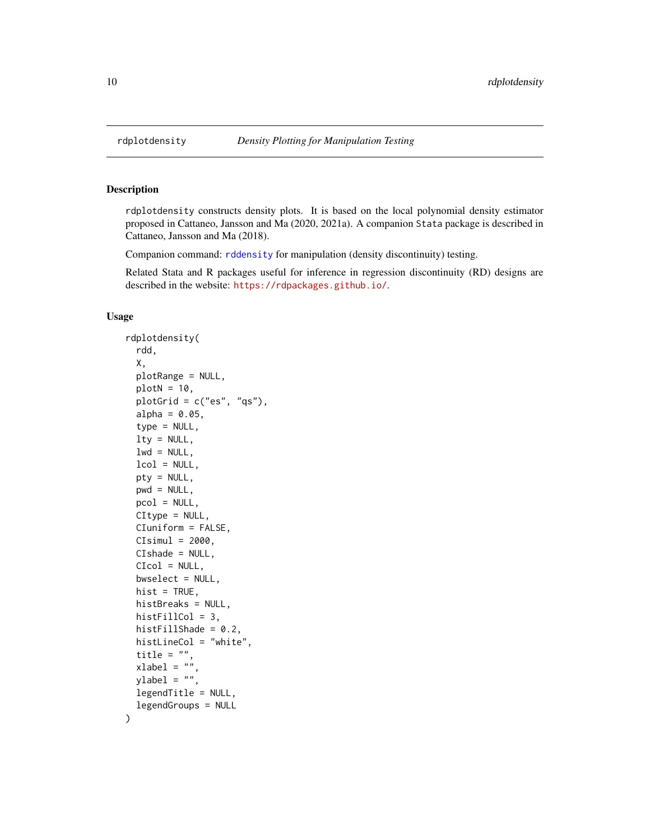# Description

rdplotdensity constructs density plots. It is based on the local polynomial density estimator proposed in Cattaneo, Jansson and Ma (2020, 2021a). A companion Stata package is described in Cattaneo, Jansson and Ma (2018).

Companion command: [rddensity](#page-4-1) for manipulation (density discontinuity) testing.

Related Stata and R packages useful for inference in regression discontinuity (RD) designs are described in the website: <https://rdpackages.github.io/>.

# Usage

```
rdplotdensity(
  rdd,
  X,
 plotRange = NULL,
 plotN = 10,
 plotGrid = c("es", "qs"),
  alpha = 0.05,
  type = NULL,
  lty = NULL,
  lwd = NULL,lcol = NULL,pty = NULL,
 pwd = NULL,pcol = NULL,
 CItype = NULL,
 CIuniform = FALSE,
 CIsimul = 2000,CIshade = NULL,
  CIcol = NULL,
  bwselect = NULL,
 hist = TRUE,
  histBreaks = NULL,
 histFillCol = 3,
  histFillShade = 0.2,
  histLineCol = "white",
  title = ".
  xlabel = "ylabel = "legendTitle = NULL,
  legendGroups = NULL
)
```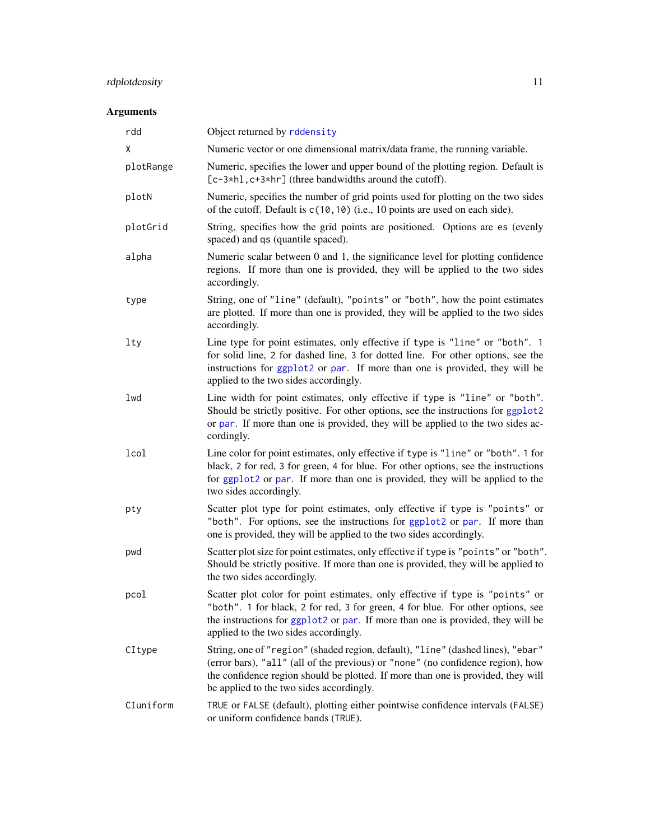# <span id="page-10-0"></span>rdplotdensity 11

# Arguments

| rdd        | Object returned by rddensity                                                                                                                                                                                                                                                                       |
|------------|----------------------------------------------------------------------------------------------------------------------------------------------------------------------------------------------------------------------------------------------------------------------------------------------------|
| χ          | Numeric vector or one dimensional matrix/data frame, the running variable.                                                                                                                                                                                                                         |
| plotRange  | Numeric, specifies the lower and upper bound of the plotting region. Default is<br>[c-3*h], c+3*hr] (three bandwidths around the cutoff).                                                                                                                                                          |
| plotN      | Numeric, specifies the number of grid points used for plotting on the two sides<br>of the cutoff. Default is $c(10, 10)$ (i.e., 10 points are used on each side).                                                                                                                                  |
| plotGrid   | String, specifies how the grid points are positioned. Options are es (evenly<br>spaced) and qs (quantile spaced).                                                                                                                                                                                  |
| alpha      | Numeric scalar between 0 and 1, the significance level for plotting confidence<br>regions. If more than one is provided, they will be applied to the two sides<br>accordingly.                                                                                                                     |
| type       | String, one of "line" (default), "points" or "both", how the point estimates<br>are plotted. If more than one is provided, they will be applied to the two sides<br>accordingly.                                                                                                                   |
| <b>lty</b> | Line type for point estimates, only effective if type is "line" or "both". 1<br>for solid line, 2 for dashed line, 3 for dotted line. For other options, see the<br>instructions for ggplot2 or par. If more than one is provided, they will be<br>applied to the two sides accordingly.           |
| lwd        | Line width for point estimates, only effective if type is "line" or "both".<br>Should be strictly positive. For other options, see the instructions for ggplot2<br>or par. If more than one is provided, they will be applied to the two sides ac-<br>cordingly.                                   |
| lcol       | Line color for point estimates, only effective if type is "line" or "both". 1 for<br>black, 2 for red, 3 for green, 4 for blue. For other options, see the instructions<br>for ggplot2 or par. If more than one is provided, they will be applied to the<br>two sides accordingly.                 |
| pty        | Scatter plot type for point estimates, only effective if type is "points" or<br>"both". For options, see the instructions for ggplot2 or par. If more than<br>one is provided, they will be applied to the two sides accordingly.                                                                  |
| pwd        | Scatter plot size for point estimates, only effective if type is "points" or "both".<br>Should be strictly positive. If more than one is provided, they will be applied to<br>the two sides accordingly.                                                                                           |
| pcol       | Scatter plot color for point estimates, only effective if type is "points" or<br>"both". 1 for black, 2 for red, 3 for green, 4 for blue. For other options, see<br>the instructions for ggplot2 or par. If more than one is provided, they will be<br>applied to the two sides accordingly.       |
| CItype     | String, one of "region" (shaded region, default), "line" (dashed lines), "ebar"<br>(error bars), "all" (all of the previous) or "none" (no confidence region), how<br>the confidence region should be plotted. If more than one is provided, they will<br>be applied to the two sides accordingly. |
| CIuniform  | TRUE or FALSE (default), plotting either pointwise confidence intervals (FALSE)<br>or uniform confidence bands (TRUE).                                                                                                                                                                             |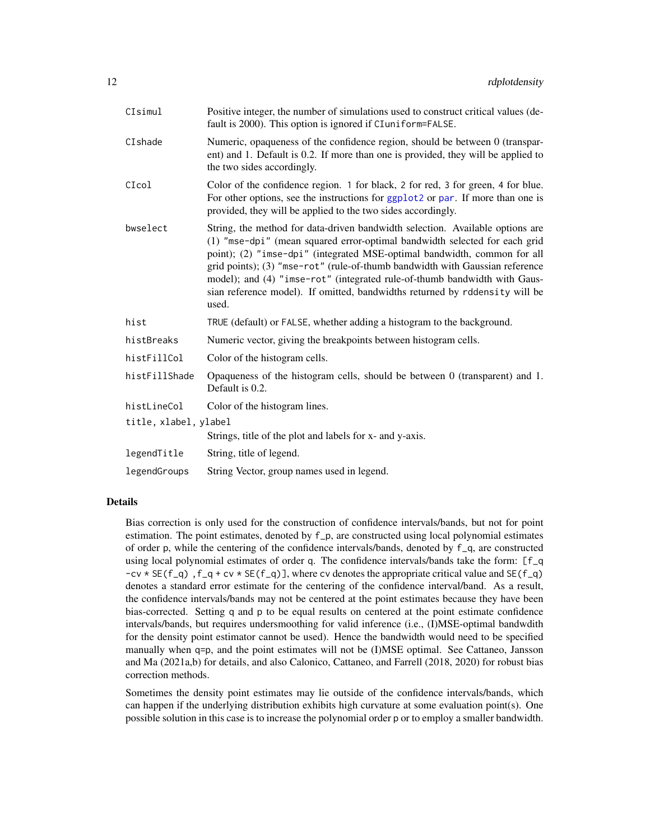<span id="page-11-0"></span>

| CIsimul               | Positive integer, the number of simulations used to construct critical values (de-<br>fault is 2000). This option is ignored if CIuniform=FALSE.                                                                                                                                                                                                                                                                                                                                             |
|-----------------------|----------------------------------------------------------------------------------------------------------------------------------------------------------------------------------------------------------------------------------------------------------------------------------------------------------------------------------------------------------------------------------------------------------------------------------------------------------------------------------------------|
| CIshade               | Numeric, opaqueness of the confidence region, should be between 0 (transpar-<br>ent) and 1. Default is 0.2. If more than one is provided, they will be applied to<br>the two sides accordingly.                                                                                                                                                                                                                                                                                              |
| CIcol                 | Color of the confidence region. 1 for black, 2 for red, 3 for green, 4 for blue.<br>For other options, see the instructions for ggplot2 or par. If more than one is<br>provided, they will be applied to the two sides accordingly.                                                                                                                                                                                                                                                          |
| bwselect              | String, the method for data-driven bandwidth selection. Available options are<br>(1) "mse-dpi" (mean squared error-optimal bandwidth selected for each grid<br>point); (2) "imse-dpi" (integrated MSE-optimal bandwidth, common for all<br>grid points); (3) "mse-rot" (rule-of-thumb bandwidth with Gaussian reference<br>model); and (4) "imse-rot" (integrated rule-of-thumb bandwidth with Gaus-<br>sian reference model). If omitted, bandwidths returned by rddensity will be<br>used. |
| hist                  | TRUE (default) or FALSE, whether adding a histogram to the background.                                                                                                                                                                                                                                                                                                                                                                                                                       |
| histBreaks            | Numeric vector, giving the breakpoints between histogram cells.                                                                                                                                                                                                                                                                                                                                                                                                                              |
| histFillCol           | Color of the histogram cells.                                                                                                                                                                                                                                                                                                                                                                                                                                                                |
| histFillShade         | Opaqueness of the histogram cells, should be between $0$ (transparent) and $1$ .<br>Default is 0.2.                                                                                                                                                                                                                                                                                                                                                                                          |
| histLineCol           | Color of the histogram lines.                                                                                                                                                                                                                                                                                                                                                                                                                                                                |
| title, xlabel, ylabel |                                                                                                                                                                                                                                                                                                                                                                                                                                                                                              |
|                       | Strings, title of the plot and labels for x- and y-axis.                                                                                                                                                                                                                                                                                                                                                                                                                                     |
| legendTitle           | String, title of legend.                                                                                                                                                                                                                                                                                                                                                                                                                                                                     |
| legendGroups          | String Vector, group names used in legend.                                                                                                                                                                                                                                                                                                                                                                                                                                                   |

# Details

Bias correction is only used for the construction of confidence intervals/bands, but not for point estimation. The point estimates, denoted by f\_p, are constructed using local polynomial estimates of order p, while the centering of the confidence intervals/bands, denoted by f\_q, are constructed using local polynomial estimates of order q. The confidence intervals/bands take the form: [f\_q  $-cv * SE(f_q)$ ,  $f_q + cv * SE(f_q)$ , where cv denotes the appropriate critical value and  $SE(f_q)$ denotes a standard error estimate for the centering of the confidence interval/band. As a result, the confidence intervals/bands may not be centered at the point estimates because they have been bias-corrected. Setting q and p to be equal results on centered at the point estimate confidence intervals/bands, but requires undersmoothing for valid inference (i.e., (I)MSE-optimal bandwdith for the density point estimator cannot be used). Hence the bandwidth would need to be specified manually when q=p, and the point estimates will not be (I)MSE optimal. See Cattaneo, Jansson and Ma (2021a,b) for details, and also Calonico, Cattaneo, and Farrell (2018, 2020) for robust bias correction methods.

Sometimes the density point estimates may lie outside of the confidence intervals/bands, which can happen if the underlying distribution exhibits high curvature at some evaluation point(s). One possible solution in this case is to increase the polynomial order p or to employ a smaller bandwidth.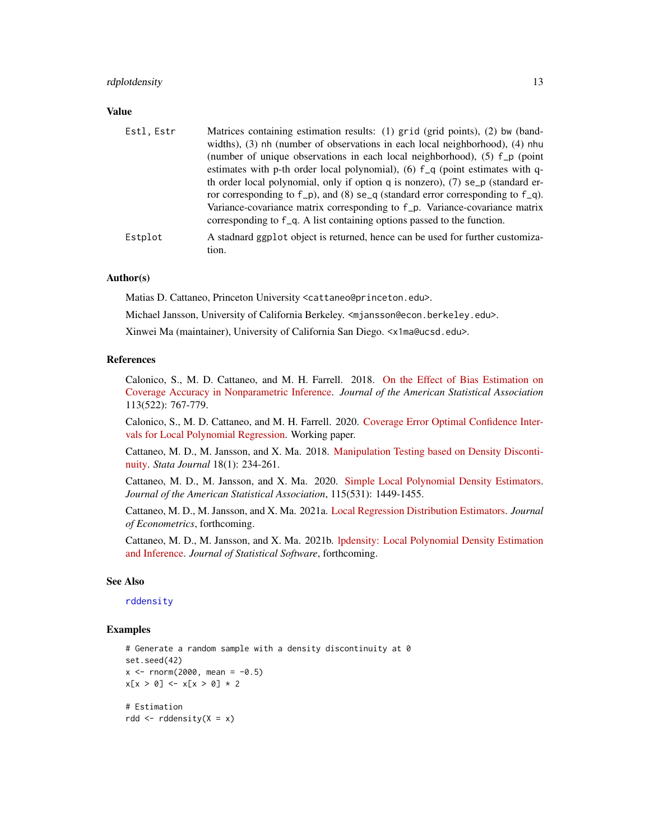# <span id="page-12-0"></span>rdplotdensity and the state of the state of the state of the state of the state of the state of the state of the state of the state of the state of the state of the state of the state of the state of the state of the state

# Value

| Estl, Estr | Matrices containing estimation results: (1) grid (grid points), (2) bw (band-<br>widths), $(3)$ nh (number of observations in each local neighborhood), $(4)$ nhu<br>(number of unique observations in each local neighborhood), (5) f_p (point<br>estimates with p-th order local polynomial), (6) f_q (point estimates with q-<br>th order local polynomial, only if option q is nonzero), $(7)$ se_p (standard er-<br>ror corresponding to $f_p$ ), and (8) se <sub>q</sub> (standard error corresponding to $f_q$ ).<br>Variance-covariance matrix corresponding to f_p. Variance-covariance matrix<br>corresponding to f_q. A list containing options passed to the function. |
|------------|------------------------------------------------------------------------------------------------------------------------------------------------------------------------------------------------------------------------------------------------------------------------------------------------------------------------------------------------------------------------------------------------------------------------------------------------------------------------------------------------------------------------------------------------------------------------------------------------------------------------------------------------------------------------------------|
| Estplot    | A stadnard ggplot object is returned, hence can be used for further customiza-<br>tion.                                                                                                                                                                                                                                                                                                                                                                                                                                                                                                                                                                                            |

# Author(s)

Matias D. Cattaneo, Princeton University <cattaneo@princeton.edu>.

Michael Jansson, University of California Berkeley. <mjansson@econ.berkeley.edu>.

Xinwei Ma (maintainer), University of California San Diego. <x1ma@ucsd.edu>.

# References

Calonico, S., M. D. Cattaneo, and M. H. Farrell. 2018. [On the Effect of Bias Estimation on](https://rdpackages.github.io/references/Calonico-Cattaneo-Farrell_2018_JASA.pdf) [Coverage Accuracy in Nonparametric Inference.](https://rdpackages.github.io/references/Calonico-Cattaneo-Farrell_2018_JASA.pdf) *Journal of the American Statistical Association* 113(522): 767-779.

Calonico, S., M. D. Cattaneo, and M. H. Farrell. 2020. [Coverage Error Optimal Confidence Inter](https://rdpackages.github.io/references/Calonico-Cattaneo-Farrell_2020_CEopt.pdf)[vals for Local Polynomial Regression.](https://rdpackages.github.io/references/Calonico-Cattaneo-Farrell_2020_CEopt.pdf) Working paper.

Cattaneo, M. D., M. Jansson, and X. Ma. 2018. [Manipulation Testing based on Density Disconti](https://rdpackages.github.io/references/Cattaneo-Jansson-Ma_2018_Stata.pdf)[nuity.](https://rdpackages.github.io/references/Cattaneo-Jansson-Ma_2018_Stata.pdf) *Stata Journal* 18(1): 234-261.

Cattaneo, M. D., M. Jansson, and X. Ma. 2020. [Simple Local Polynomial Density Estimators.](https://nppackages.github.io/references/Cattaneo-Jansson-Ma_2020_JASA.pdf) *Journal of the American Statistical Association*, 115(531): 1449-1455.

Cattaneo, M. D., M. Jansson, and X. Ma. 2021a. [Local Regression Distribution Estimators.](https://nppackages.github.io/references/Cattaneo-Jansson-Ma_2021_JoE.pdf) *Journal of Econometrics*, forthcoming.

Cattaneo, M. D., M. Jansson, and X. Ma. 2021b. [lpdensity: Local Polynomial Density Estimation](https://nppackages.github.io/references/Cattaneo-Jansson-Ma_2021_JSS.pdf) [and Inference.](https://nppackages.github.io/references/Cattaneo-Jansson-Ma_2021_JSS.pdf) *Journal of Statistical Software*, forthcoming.

#### See Also

# [rddensity](#page-4-1)

# Examples

```
# Generate a random sample with a density discontinuity at 0
set.seed(42)
x \le - rnorm(2000, mean = -0.5)
x[x > 0] <- x[x > 0] * 2
# Estimation
rdd \leq rddensity(X = x)
```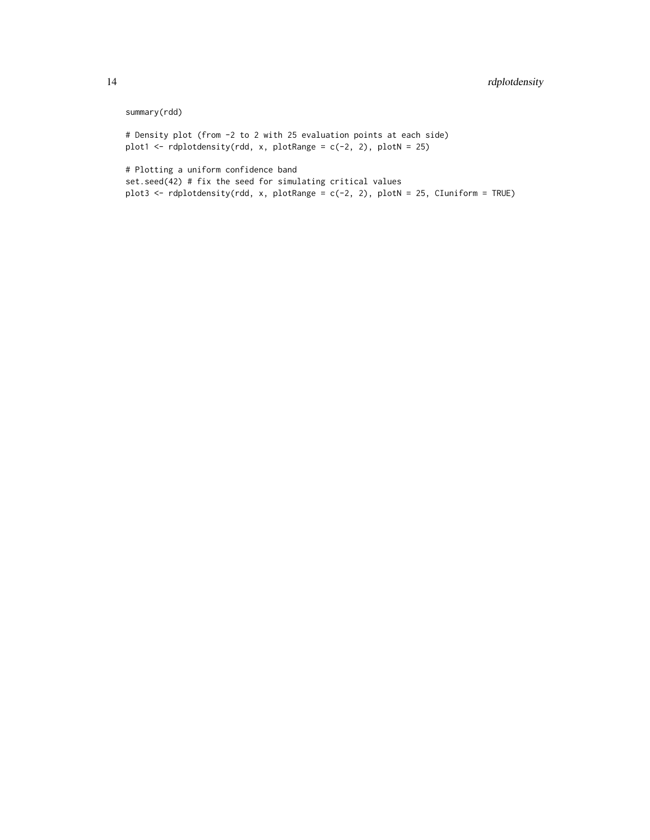# summary(rdd)

# Density plot (from -2 to 2 with 25 evaluation points at each side) plot1  $\leq$  rdplotdensity(rdd, x, plotRange = c(-2, 2), plotN = 25)

# Plotting a uniform confidence band set.seed(42) # fix the seed for simulating critical values plot3 <- rdplotdensity(rdd, x, plotRange = c(-2, 2), plotN = 25, CIuniform = TRUE)